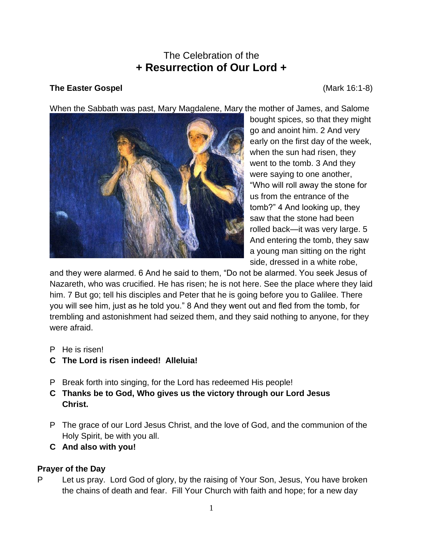# The Celebration of the **+ Resurrection of Our Lord +**

### **The Easter Gospel** (Mark 16:1-8)

When the Sabbath was past, Mary Magdalene, Mary the mother of James, and Salome



bought spices, so that they might go and anoint him. 2 And very early on the first day of the week, when the sun had risen, they went to the tomb. 3 And they were saying to one another, "Who will roll away the stone for us from the entrance of the tomb?" 4 And looking up, they saw that the stone had been rolled back—it was very large. 5 And entering the tomb, they saw a young man sitting on the right side, dressed in a white robe,

and they were alarmed. 6 And he said to them, "Do not be alarmed. You seek Jesus of Nazareth, who was crucified. He has risen; he is not here. See the place where they laid him. 7 But go; tell his disciples and Peter that he is going before you to Galilee. There you will see him, just as he told you." 8 And they went out and fled from the tomb, for trembling and astonishment had seized them, and they said nothing to anyone, for they were afraid.

- P He is risen!
- **C The Lord is risen indeed! Alleluia!**
- P Break forth into singing, for the Lord has redeemed His people!
- **C Thanks be to God, Who gives us the victory through our Lord Jesus Christ.**
- P The grace of our Lord Jesus Christ, and the love of God, and the communion of the Holy Spirit, be with you all.
- **C And also with you!**

### **Prayer of the Day**

P Let us pray. Lord God of glory, by the raising of Your Son, Jesus, You have broken the chains of death and fear. Fill Your Church with faith and hope; for a new day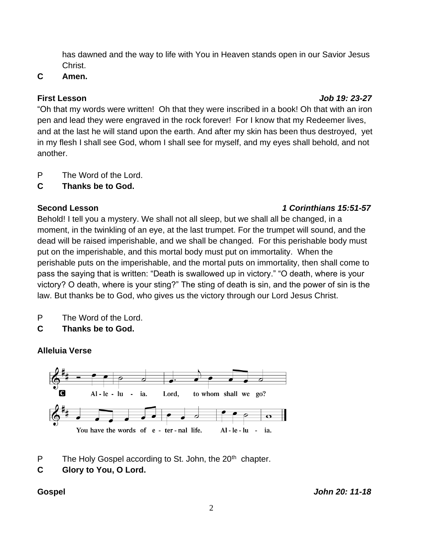has dawned and the way to life with You in Heaven stands open in our Savior Jesus Christ.

## **C Amen.**

# **First Lesson** *Job 19: 23-27*

"Oh that my words were written! Oh that they were inscribed in a book! Oh that with an iron pen and lead they were engraved in the rock forever! For I know that my Redeemer lives, and at the last he will stand upon the earth. And after my skin has been thus destroyed, yet in my flesh I shall see God, whom I shall see for myself, and my eyes shall behold, and not another.

P The Word of the Lord.

**C Thanks be to God.**

## **Second Lesson** *1 Corinthians 15:51-57*

Behold! I tell you a mystery. We shall not all sleep, but we shall all be changed, in a moment, in the twinkling of an eye, at the last trumpet. For the trumpet will sound, and the dead will be raised imperishable, and we shall be changed. For this perishable body must put on the imperishable, and this mortal body must put on immortality. When the perishable puts on the imperishable, and the mortal puts on immortality, then shall come to pass the saying that is written: "Death is swallowed up in victory." "O death, where is your victory? O death, where is your sting?" The sting of death is sin, and the power of sin is the law. But thanks be to God, who gives us the victory through our Lord Jesus Christ.

- P The Word of the Lord.
- **C Thanks be to God.**

# **Alleluia Verse**



P The Holy Gospel according to St. John, the  $20<sup>th</sup>$  chapter.

**C Glory to You, O Lord.**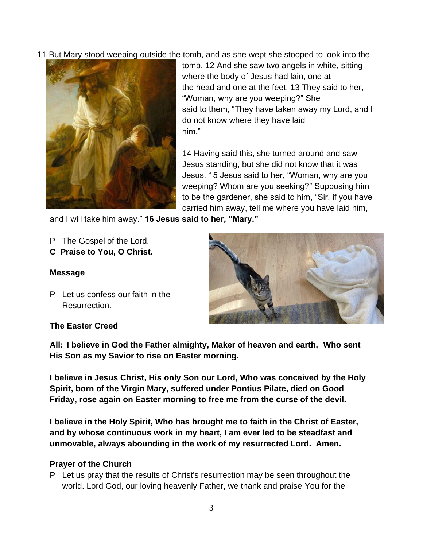11 But Mary stood weeping outside the tomb, and as she wept she stooped to look into the



tomb. 12 And she saw two angels in white, sitting where the body of Jesus had lain, one at the head and one at the feet. 13 They said to her, "Woman, why are you weeping?" She said to them, "They have taken away my Lord, and I do not know where they have laid him."

14 Having said this, she turned around and saw Jesus standing, but she did not know that it was Jesus. 15 Jesus said to her, "Woman, why are you weeping? Whom are you seeking?" Supposing him to be the gardener, she said to him, "Sir, if you have carried him away, tell me where you have laid him,

and I will take him away." **16 Jesus said to her, "Mary."**

- P The Gospel of the Lord.
- **C Praise to You, O Christ.**

### **Message**

P Let us confess our faith in the Resurrection.

### **The Easter Creed**



**All: I believe in God the Father almighty, Maker of heaven and earth, Who sent His Son as my Savior to rise on Easter morning.**

**I believe in Jesus Christ, His only Son our Lord, Who was conceived by the Holy Spirit, born of the Virgin Mary, suffered under Pontius Pilate, died on Good Friday, rose again on Easter morning to free me from the curse of the devil.**

**I believe in the Holy Spirit, Who has brought me to faith in the Christ of Easter, and by whose continuous work in my heart, I am ever led to be steadfast and unmovable, always abounding in the work of my resurrected Lord. Amen.**

### **Prayer of the Church**

P Let us pray that the results of Christ's resurrection may be seen throughout the world. Lord God, our loving heavenly Father, we thank and praise You for the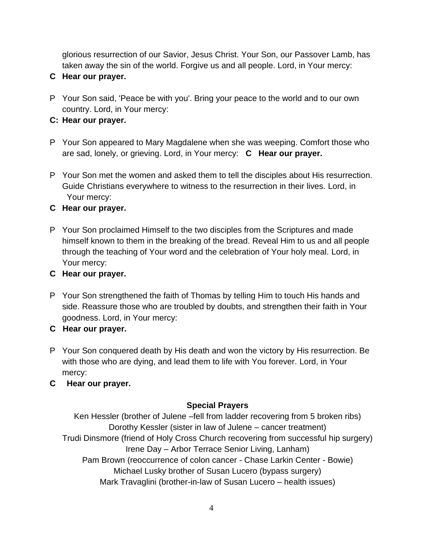glorious resurrection of our Savior, Jesus Christ. Your Son, our Passover Lamb, has taken away the sin of the world. Forgive us and all people. Lord, in Your mercy:

- **C Hear our prayer.**
- P Your Son said, 'Peace be with you'. Bring your peace to the world and to our own country. Lord, in Your mercy:
- **C: Hear our prayer.**
- P Your Son appeared to Mary Magdalene when she was weeping. Comfort those who are sad, lonely, or grieving. Lord, in Your mercy: **C Hear our prayer.**
- P Your Son met the women and asked them to tell the disciples about His resurrection. Guide Christians everywhere to witness to the resurrection in their lives. Lord, in Your mercy:

### **C Hear our prayer.**

- P Your Son proclaimed Himself to the two disciples from the Scriptures and made himself known to them in the breaking of the bread. Reveal Him to us and all people through the teaching of Your word and the celebration of Your holy meal. Lord, in Your mercy:
- **C Hear our prayer.**
- P Your Son strengthened the faith of Thomas by telling Him to touch His hands and side. Reassure those who are troubled by doubts, and strengthen their faith in Your goodness. Lord, in Your mercy:
- **C Hear our prayer.**
- P Your Son conquered death by His death and won the victory by His resurrection. Be with those who are dying, and lead them to life with You forever. Lord, in Your mercy:
- **C Hear our prayer.**

### **Special Prayers**

Ken Hessler (brother of Julene –fell from ladder recovering from 5 broken ribs) Dorothy Kessler (sister in law of Julene – cancer treatment) Trudi Dinsmore (friend of Holy Cross Church recovering from successful hip surgery) Irene Day – Arbor Terrace Senior Living, Lanham) Pam Brown (reoccurrence of colon cancer - Chase Larkin Center - Bowie) Michael Lusky brother of Susan Lucero (bypass surgery) Mark Travaglini (brother-in-law of Susan Lucero – health issues)

4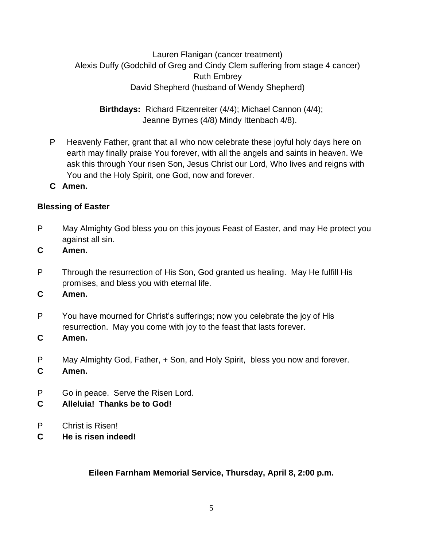Lauren Flanigan (cancer treatment) Alexis Duffy (Godchild of Greg and Cindy Clem suffering from stage 4 cancer) Ruth Embrey David Shepherd (husband of Wendy Shepherd)

**Birthdays:** Richard Fitzenreiter (4/4); Michael Cannon (4/4); Jeanne Byrnes (4/8) Mindy Ittenbach 4/8).

- P Heavenly Father, grant that all who now celebrate these joyful holy days here on earth may finally praise You forever, with all the angels and saints in heaven. We ask this through Your risen Son, Jesus Christ our Lord, Who lives and reigns with You and the Holy Spirit, one God, now and forever.
- **C Amen.**

### **Blessing of Easter**

- P May Almighty God bless you on this joyous Feast of Easter, and may He protect you against all sin.
- **C Amen.**
- P Through the resurrection of His Son, God granted us healing. May He fulfill His promises, and bless you with eternal life.
- **C Amen.**
- P You have mourned for Christ's sufferings; now you celebrate the joy of His resurrection. May you come with joy to the feast that lasts forever.
- **C Amen.**
- P May Almighty God, Father, + Son, and Holy Spirit, bless you now and forever.
- **C Amen.**
- P Go in peace. Serve the Risen Lord.
- **C Alleluia! Thanks be to God!**
- P Christ is Risen!
- **C He is risen indeed!**

**Eileen Farnham Memorial Service, Thursday, April 8, 2:00 p.m.**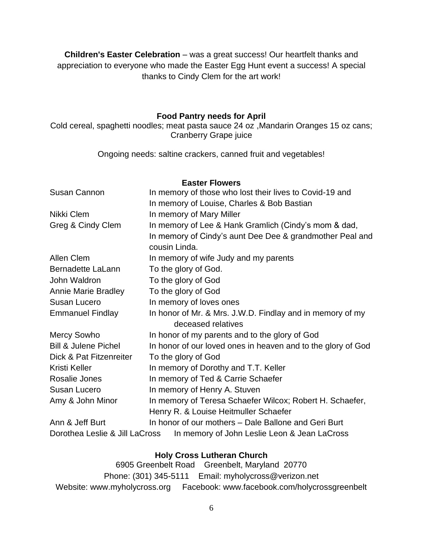**Children's Easter Celebration** – was a great success! Our heartfelt thanks and appreciation to everyone who made the Easter Egg Hunt event a success! A special thanks to Cindy Clem for the art work!

### **Food Pantry needs for April**

Cold cereal, spaghetti noodles; meat pasta sauce 24 oz ,Mandarin Oranges 15 oz cans; Cranberry Grape juice

Ongoing needs: saltine crackers, canned fruit and vegetables!

| <b>Easter Flowers</b>                                                          |                                                              |
|--------------------------------------------------------------------------------|--------------------------------------------------------------|
| <b>Susan Cannon</b>                                                            | In memory of those who lost their lives to Covid-19 and      |
|                                                                                | In memory of Louise, Charles & Bob Bastian                   |
| Nikki Clem                                                                     | In memory of Mary Miller                                     |
| Greg & Cindy Clem                                                              | In memory of Lee & Hank Gramlich (Cindy's mom & dad,         |
|                                                                                | In memory of Cindy's aunt Dee Dee & grandmother Peal and     |
|                                                                                | cousin Linda.                                                |
| <b>Allen Clem</b>                                                              | In memory of wife Judy and my parents                        |
| Bernadette LaLann                                                              | To the glory of God.                                         |
| John Waldron                                                                   | To the glory of God                                          |
| <b>Annie Marie Bradley</b>                                                     | To the glory of God                                          |
| Susan Lucero                                                                   | In memory of loves ones                                      |
| <b>Emmanuel Findlay</b>                                                        | In honor of Mr. & Mrs. J.W.D. Findlay and in memory of my    |
|                                                                                | deceased relatives                                           |
| <b>Mercy Sowho</b>                                                             | In honor of my parents and to the glory of God               |
| <b>Bill &amp; Julene Pichel</b>                                                | In honor of our loved ones in heaven and to the glory of God |
| Dick & Pat Fitzenreiter                                                        | To the glory of God                                          |
| Kristi Keller                                                                  | In memory of Dorothy and T.T. Keller                         |
| Rosalie Jones                                                                  | In memory of Ted & Carrie Schaefer                           |
| Susan Lucero                                                                   | In memory of Henry A. Stuven                                 |
| Amy & John Minor                                                               | In memory of Teresa Schaefer Wilcox; Robert H. Schaefer,     |
|                                                                                | Henry R. & Louise Heitmuller Schaefer                        |
| Ann & Jeff Burt                                                                | In honor of our mothers - Dale Ballone and Geri Burt         |
| In memory of John Leslie Leon & Jean LaCross<br>Dorothea Leslie & Jill LaCross |                                                              |

### **Holy Cross Lutheran Church**

6905 Greenbelt Road Greenbelt, Maryland 20770 Phone: (301) 345-5111 Email: myholycross@verizon.net Website: www.myholycross.org Facebook: www.facebook.com/holycrossgreenbelt